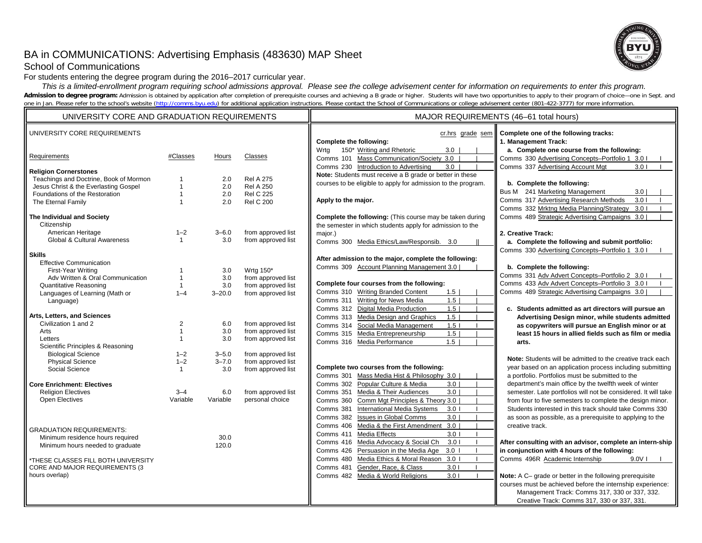# BA in COMMUNICATIONS: Advertising Emphasis (483630) MAP Sheet



### School of Communications

For students entering the degree program during the 2016–2017 curricular year.

 *This is a limited-enrollment program requiring school admissions approval. Please see the college advisement center for information on requirements to enter this program.* Admission to degree program: Admission is obtained by application after completion of prerequisite courses and achieving a B grade or higher. Students will have two opportunities to apply to their program of choice-one in one in Jan. Please refer to the school's website (http://comms.byu.edu) for additional application instructions. Please contact the School of Communications or college advisement center (801-422-3777) for more information.

| UNIVERSITY CORE AND GRADUATION REQUIREMENTS                     |                              |            |                                          | MAJOR REQUIREMENTS (46-61 total hours)                                                  |                                                                                                             |  |
|-----------------------------------------------------------------|------------------------------|------------|------------------------------------------|-----------------------------------------------------------------------------------------|-------------------------------------------------------------------------------------------------------------|--|
| UNIVERSITY CORE REQUIREMENTS<br>Requirements                    | #Classes                     | Hours      | Classes                                  | cr.hrs grade sem<br>Complete the following:<br>Wrta<br>150* Writing and Rhetoric<br>3.0 | Complete one of the following tracks:<br>1. Management Track:<br>a. Complete one course from the following: |  |
|                                                                 |                              |            |                                          | Comms 101 Mass Communication/Society 3.0                                                | Comms 330 Advertising Concepts-Portfolio 1 3.0 I                                                            |  |
| <b>Religion Cornerstones</b>                                    |                              |            |                                          | Comms 230 Introduction to Advertising<br>3.0                                            | Comms 337 Advertising Account Mgt<br>3.01                                                                   |  |
| Teachings and Doctrine, Book of Mormon                          |                              | 2.0        | <b>Rel A 275</b>                         | Note: Students must receive a B grade or better in these                                |                                                                                                             |  |
| Jesus Christ & the Everlasting Gospel                           | $\mathbf{1}$                 | 2.0        | <b>Rel A 250</b>                         | courses to be eligible to apply for admission to the program.                           | b. Complete the following:                                                                                  |  |
| Foundations of the Restoration                                  | $\mathbf 1$                  | 2.0        | <b>Rel C 225</b>                         |                                                                                         | Bus M 241 Marketing Management<br>3.0<br>Comms 317 Advertising Research Methods                             |  |
| The Eternal Family                                              |                              | 2.0        | <b>Rel C 200</b>                         | Apply to the major.                                                                     | 3.01<br>Comms 332 Mrktng Media Planning/Strategy<br>3.01                                                    |  |
| The Individual and Society                                      |                              |            |                                          | Complete the following: (This course may be taken during                                | Comms 489 Strategic Advertising Campaigns 3.0                                                               |  |
| Citizenship                                                     |                              |            |                                          | the semester in which students apply for admission to the                               |                                                                                                             |  |
| American Heritage                                               | $1 - 2$                      | $3 - 6.0$  | from approved list                       | major.)                                                                                 | 2. Creative Track:                                                                                          |  |
| Global & Cultural Awareness                                     | $\mathbf{1}$                 | 3.0        | from approved list                       | Comms 300 Media Ethics/Law/Responsib. 3.0                                               | a. Complete the following and submit portfolio:                                                             |  |
|                                                                 |                              |            |                                          |                                                                                         | Comms 330 Advertising Concepts-Portfolio 1 3.0 I                                                            |  |
| <b>Skills</b>                                                   |                              |            |                                          | After admission to the major, complete the following:                                   |                                                                                                             |  |
| <b>Effective Communication</b>                                  |                              |            |                                          | Comms 309 Account Planning Management 3.0                                               | b. Complete the following:                                                                                  |  |
| First-Year Writing                                              | -1                           | 3.0        | Wrtg 150*                                |                                                                                         | Comms 331 Adv Advert Concepts-Portfolio 2 3.0 I                                                             |  |
| Adv Written & Oral Communication                                | $\mathbf{1}$<br>$\mathbf{1}$ | 3.0<br>3.0 | from approved list                       | Complete four courses from the following:                                               | Comms 433 Adv Advert Concepts-Portfolio 3 3.0 I                                                             |  |
| <b>Quantitative Reasoning</b><br>Languages of Learning (Math or | $1 - 4$                      | $3 - 20.0$ | from approved list<br>from approved list | Comms 310 Writing Branded Content<br>1.5                                                | Comms 489 Strategic Advertising Campaigns 3.0                                                               |  |
| Language)                                                       |                              |            |                                          | Comms 311 Writing for News Media<br>1.5                                                 |                                                                                                             |  |
|                                                                 |                              |            |                                          | Comms 312 Digital Media Production<br>1.5                                               | c. Students admitted as art directors will pursue an                                                        |  |
| Arts, Letters, and Sciences                                     |                              |            |                                          | Comms 313 Media Design and Graphics<br>1.5                                              | Advertising Design minor, while students admitted                                                           |  |
| Civilization 1 and 2                                            | $\overline{2}$               | 6.0        | from approved list                       | Social Media Management<br>1.5 <sub>1</sub><br>Comms 314                                | as copywriters will pursue an English minor or at                                                           |  |
| Arts                                                            | $\mathbf 1$                  | 3.0        | from approved list                       | Comms 315 Media Entrepreneurship<br>1.5                                                 | least 15 hours in allied fields such as film or media                                                       |  |
| Letters                                                         | $\mathbf 1$                  | 3.0        | from approved list                       | 1.5<br>Comms 316 Media Performance                                                      | arts.                                                                                                       |  |
| Scientific Principles & Reasoning                               |                              | $3 - 5.0$  | from approved list                       |                                                                                         |                                                                                                             |  |
| <b>Biological Science</b><br><b>Physical Science</b>            | $1 - 2$<br>$1 - 2$           | $3 - 7.0$  | from approved list                       |                                                                                         | Note: Students will be admitted to the creative track each                                                  |  |
| Social Science                                                  | $\mathbf{1}$                 | 3.0        | from approved list                       | Complete two courses from the following:                                                | year based on an application process including submitting                                                   |  |
|                                                                 |                              |            |                                          | Comms 301 Mass Media Hist & Philosophy 3.0                                              | a portfolio. Portfolios must be submitted to the                                                            |  |
| <b>Core Enrichment: Electives</b>                               |                              |            |                                          | Comms 302 Popular Culture & Media<br>3.0                                                | department's main office by the twelfth week of winter                                                      |  |
| <b>Religion Electives</b>                                       | $3 - 4$                      | 6.0        | from approved list                       | Comms 351 Media & Their Audiences<br>3.0                                                | semester. Late portfolios will not be considered. It will take                                              |  |
| Open Electives                                                  | Variable                     | Variable   | personal choice                          | Comm Mgt Principles & Theory 3.0<br>Comms 360                                           | from four to five semesters to complete the design minor.                                                   |  |
|                                                                 |                              |            |                                          | <b>International Media Systems</b><br>3.0 <sub>1</sub><br>Comms 381                     | Students interested in this track should take Comms 330                                                     |  |
|                                                                 |                              |            |                                          | Comms 382<br><b>Issues in Global Comms</b><br>3.0                                       | as soon as possible, as a prerequisite to applying to the                                                   |  |
| <b>GRADUATION REQUIREMENTS:</b>                                 |                              |            |                                          | Comms 406 Media & the First Amendment 3.0                                               | creative track.                                                                                             |  |
| Minimum residence hours required                                |                              | 30.0       |                                          | Comms 411 Media Effects<br>3.01                                                         |                                                                                                             |  |
| Minimum hours needed to graduate                                |                              | 120.0      |                                          | Comms 416 Media Advocacy & Social Ch<br>3.01                                            | After consulting with an advisor, complete an intern-ship                                                   |  |
|                                                                 |                              |            |                                          | Persuasion in the Media Age<br>3.0 <sub>1</sub><br>Comms 426                            | in conjunction with 4 hours of the following:                                                               |  |
| *THESE CLASSES FILL BOTH UNIVERSITY                             |                              |            |                                          | Comms 480 Media Ethics & Moral Reason 3.0 I                                             | Comms 496R Academic Internship<br>$9.0V$                                                                    |  |
| CORE AND MAJOR REQUIREMENTS (3                                  |                              |            |                                          | Gender, Race, & Class<br>Comms 481<br>3.01                                              |                                                                                                             |  |
| hours overlap)                                                  |                              |            |                                          | Comms 482 Media & World Religions<br>3.01                                               | Note: A C- grade or better in the following prerequisite                                                    |  |
|                                                                 |                              |            |                                          |                                                                                         | courses must be achieved before the internship experience:                                                  |  |
|                                                                 |                              |            |                                          |                                                                                         | Management Track: Comms 317, 330 or 337, 332.                                                               |  |
|                                                                 |                              |            |                                          |                                                                                         | Creative Track: Comms 317, 330 or 337, 331.                                                                 |  |